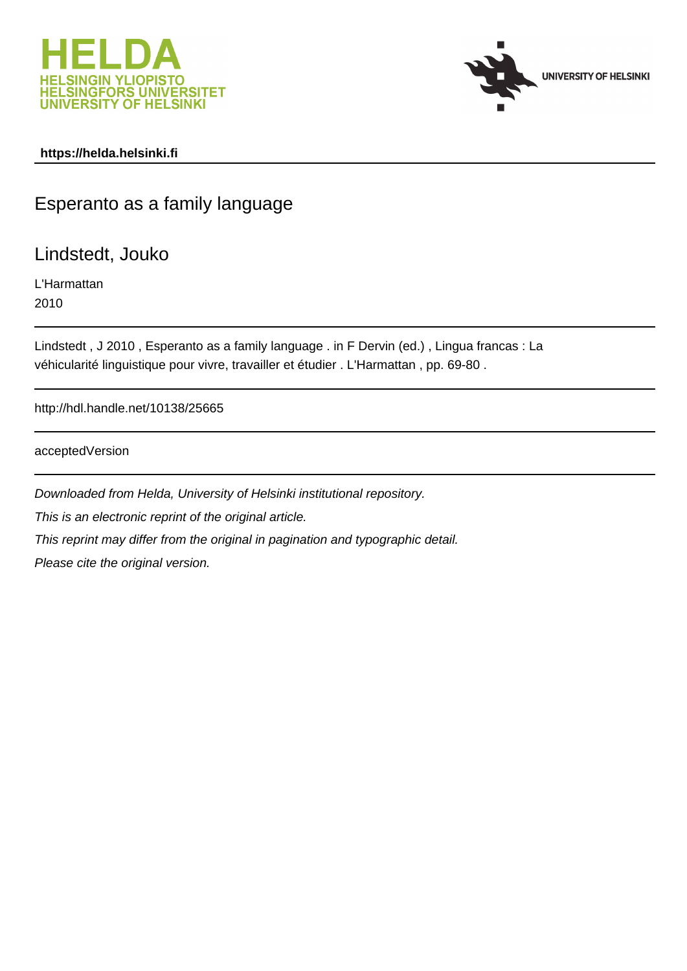



# **https://helda.helsinki.fi**

# Esperanto as a family language

Lindstedt, Jouko

L'Harmattan 2010

Lindstedt , J 2010 , Esperanto as a family language . in F Dervin (ed.) , Lingua francas : La véhicularité linguistique pour vivre, travailler et étudier . L'Harmattan , pp. 69-80 .

http://hdl.handle.net/10138/25665

acceptedVersion

Downloaded from Helda, University of Helsinki institutional repository. This is an electronic reprint of the original article. This reprint may differ from the original in pagination and typographic detail. Please cite the original version.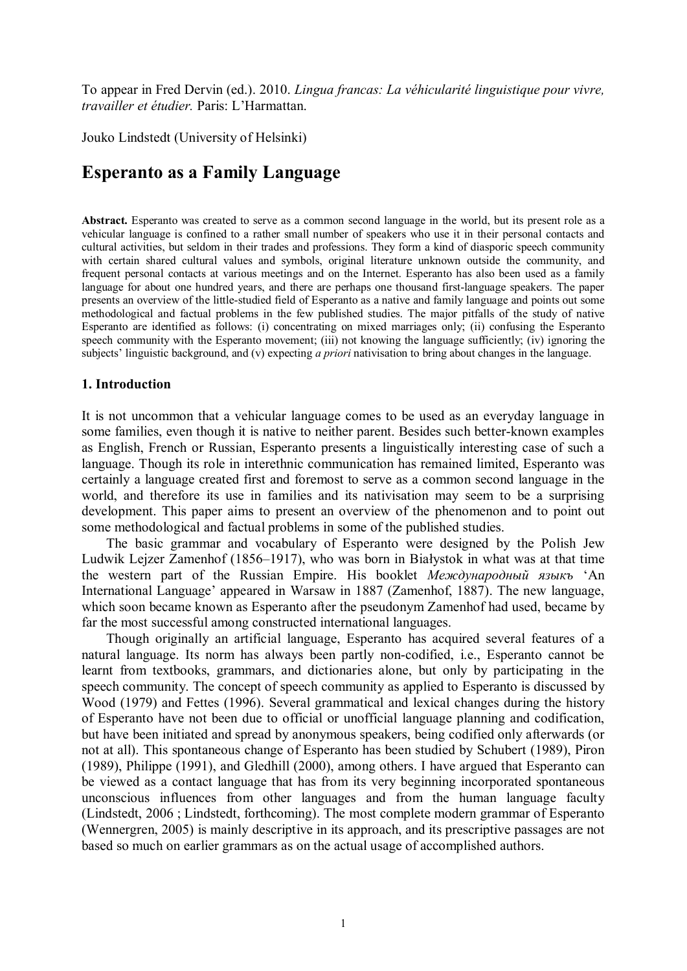To appear in Fred Dervin (ed.). 2010. Lingua francas: La véhicularité linguistique pour vivre, travailler et étudier. Paris: L'Harmattan.

Jouko Lindstedt (University of Helsinki)

# **Esperanto as a Family Language**

Abstract. Esperanto was created to serve as a common second language in the world, but its present role as a vehicular language is confined to a rather small number of speakers who use it in their personal contacts and cultural activities, but seldom in their trades and professions. They form a kind of diasporic speech community with certain shared cultural values and symbols, original literature unknown outside the community, and frequent personal contacts at various meetings and on the Internet. Esperanto has also been used as a family language for about one hundred years, and there are perhaps one thousand first-language speakers. The paper presents an overview of the little-studied field of Esperanto as a native and family language and points out some methodological and factual problems in the few published studies. The major pitfalls of the study of native Esperanto are identified as follows: (i) concentrating on mixed marriages only; (ii) confusing the Esperanto speech community with the Esperanto movement; (iii) not knowing the language sufficiently; (iv) ignoring the subjects' linguistic background, and (v) expecting a priori nativisation to bring about changes in the language.

#### 1. Introduction

It is not uncommon that a vehicular language comes to be used as an everyday language in some families, even though it is native to neither parent. Besides such better-known examples as English, French or Russian, Esperanto presents a linguistically interesting case of such a language. Though its role in interethnic communication has remained limited. Esperanto was certainly a language created first and foremost to serve as a common second language in the world, and therefore its use in families and its nativisation may seem to be a surprising development. This paper aims to present an overview of the phenomenon and to point out some methodological and factual problems in some of the published studies.

The basic grammar and vocabulary of Esperanto were designed by the Polish Jew Ludwik Lejzer Zamenhof (1856–1917), who was born in Białystok in what was at that time the western part of the Russian Empire. His booklet *Международный языкъ* 'An International Language' appeared in Warsaw in 1887 (Zamenhof, 1887). The new language, which soon became known as Esperanto after the pseudonym Zamenhof had used, became by far the most successful among constructed international languages.

Though originally an artificial language. Esperanto has acquired several features of a natural language. Its norm has always been partly non-codified, i.e., Esperanto cannot be learnt from textbooks, grammars, and dictionaries alone, but only by participating in the speech community. The concept of speech community as applied to Esperanto is discussed by Wood (1979) and Fettes (1996). Several grammatical and lexical changes during the history of Esperanto have not been due to official or unofficial language planning and codification, but have been initiated and spread by anonymous speakers, being codified only afterwards (or not at all). This spontaneous change of Esperanto has been studied by Schubert (1989), Piron (1989), Philippe (1991), and Gledhill (2000), among others. I have argued that Esperanto can be viewed as a contact language that has from its very beginning incorporated spontaneous unconscious influences from other languages and from the human language faculty (Lindstedt, 2006; Lindstedt, forthcoming). The most complete modern grammar of Esperanto (Wennergren, 2005) is mainly descriptive in its approach, and its prescriptive passages are not based so much on earlier grammars as on the actual usage of accomplished authors.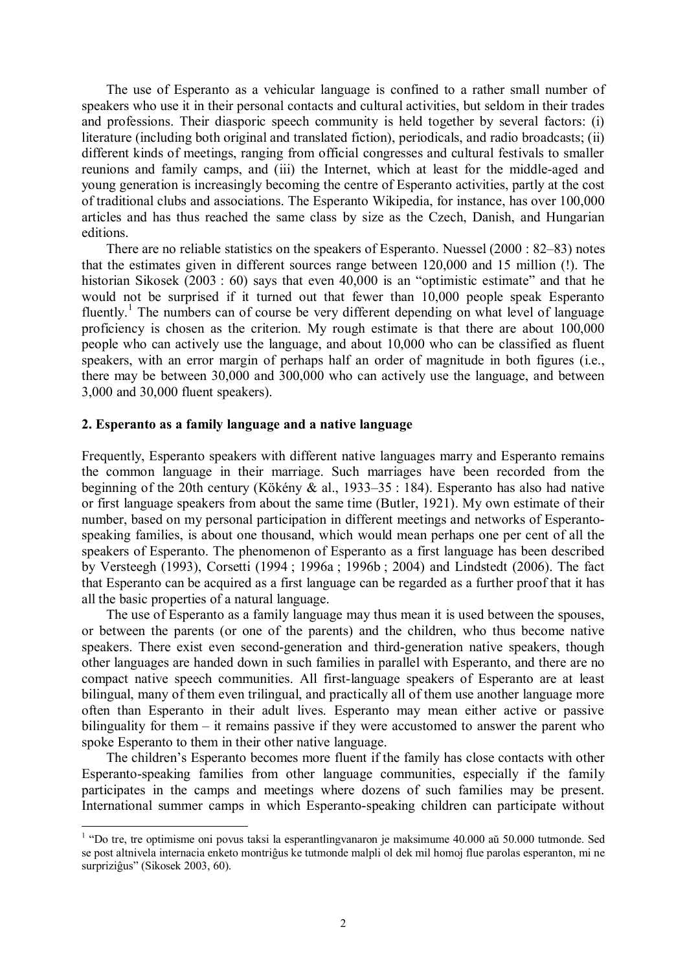The use of Esperanto as a vehicular language is confined to a rather small number of speakers who use it in their personal contacts and cultural activities, but seldom in their trades and professions. Their diasporic speech community is held together by several factors: (i) literature (including both original and translated fiction), periodicals, and radio broadcasts; (ii) different kinds of meetings, ranging from official congresses and cultural festivals to smaller reunions and family camps, and (iii) the Internet, which at least for the middle-aged and young generation is increasingly becoming the centre of Esperanto activities, partly at the cost of traditional clubs and associations. The Esperanto Wikipedia, for instance, has over 100,000 articles and has thus reached the same class by size as the Czech, Danish, and Hungarian editions.

There are no reliable statistics on the speakers of Esperanto. Nuessel (2000 : 82–83) notes that the estimates given in different sources range between 120,000 and 15 million (!). The historian Sikosek (2003 : 60) says that even  $40,000$  is an "optimistic estimate" and that he would not be surprised if it turned out that fewer than 10,000 people speak Esperanto fluently.<sup>1</sup> The numbers can of course be very different depending on what level of language proficiency is chosen as the criterion. My rough estimate is that there are about 100,000 people who can actively use the language, and about 10,000 who can be classified as fluent speakers, with an error margin of perhaps half an order of magnitude in both figures (i.e., there may be between 30,000 and 300,000 who can actively use the language, and between 3,000 and 30,000 fluent speakers).

#### 2. Esperanto as a family language and a native language

Frequently. Esperanto speakers with different native languages marry and Esperanto remains the common language in their marriage. Such marriages have been recorded from the beginning of the 20th century (Kökény & al., 1933–35 : 184). Esperanto has also had native or first language speakers from about the same time (Butler, 1921). My own estimate of their number, based on my personal participation in different meetings and networks of Esperantospeaking families, is about one thousand, which would mean perhaps one per cent of all the speakers of Esperanto. The phenomenon of Esperanto as a first language has been described by Versteegh (1993), Corsetti (1994; 1996a; 1996b; 2004) and Lindstedt (2006). The fact that Esperanto can be acquired as a first language can be regarded as a further proof that it has all the basic properties of a natural language.

The use of Esperanto as a family language may thus mean it is used between the spouses. or between the parents (or one of the parents) and the children, who thus become native speakers. There exist even second-generation and third-generation native speakers, though other languages are handed down in such families in parallel with Esperanto, and there are no compact native speech communities. All first-language speakers of Esperanto are at least bilingual, many of them even trilingual, and practically all of them use another language more often than Esperanto in their adult lives. Esperanto may mean either active or passive bilinguality for them  $-$  it remains passive if they were accustomed to answer the parent who spoke Esperanto to them in their other native language.

The children's Esperanto becomes more fluent if the family has close contacts with other Esperanto-speaking families from other language communities, especially if the family participates in the camps and meetings where dozens of such families may be present. International summer camps in which Esperanto-speaking children can participate without

 $1$  "Do tre, tre optimisme oni povus taksi la esperantlingvanaron je maksimume 40.000 aŭ 50.000 tutmonde. Sed se post altnivela internacia enketo montriĝus ke tutmonde malpli ol dek mil homoj flue parolas esperanton, mi ne surpriziĝus" (Sikosek 2003, 60).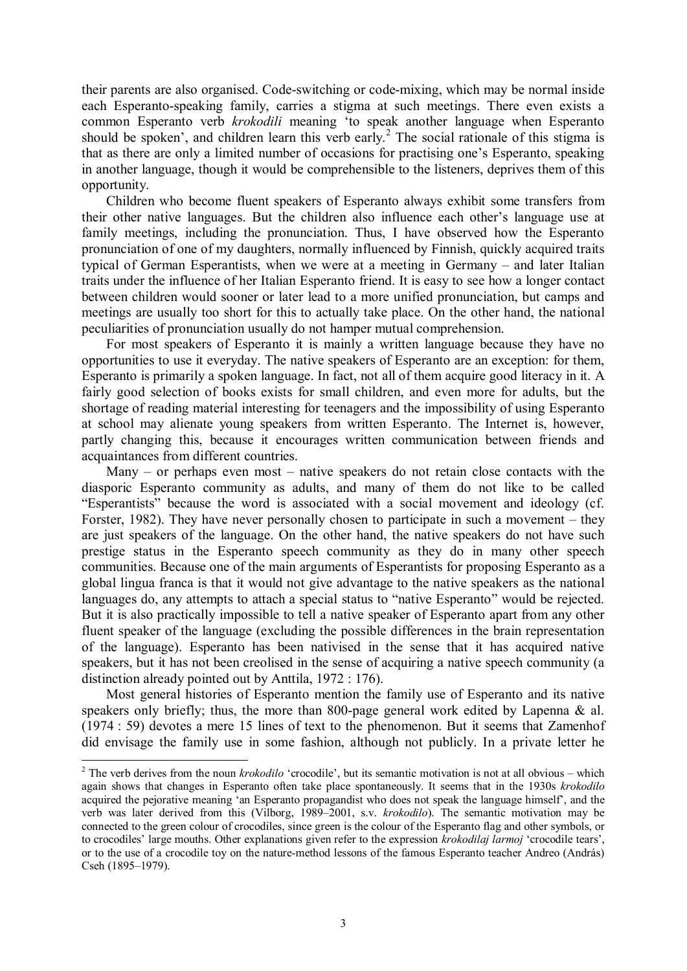their parents are also organised. Code-switching or code-mixing, which may be normal inside each Esperanto-speaking family, carries a stigma at such meetings. There even exists a common Esperanto verb krokodili meaning 'to speak another language when Esperanto should be spoken', and children learn this verb early.<sup>2</sup> The social rationale of this stigma is that as there are only a limited number of occasions for practising one's Esperanto, speaking in another language, though it would be comprehensible to the listeners, deprives them of this opportunity.

Children who become fluent speakers of Esperanto always exhibit some transfers from their other native languages. But the children also influence each other's language use at family meetings, including the pronunciation. Thus, I have observed how the Esperanto pronunciation of one of my daughters, normally influenced by Finnish, quickly acquired traits typical of German Esperantists, when we were at a meeting in Germany – and later Italian traits under the influence of her Italian Esperanto friend. It is easy to see how a longer contact between children would sooner or later lead to a more unified pronunciation, but camps and meetings are usually too short for this to actually take place. On the other hand, the national peculiarities of pronunciation usually do not hamper mutual comprehension.

For most speakers of Esperanto it is mainly a written language because they have no opportunities to use it everyday. The native speakers of Esperanto are an exception: for them, Esperanto is primarily a spoken language. In fact, not all of them acquire good literacy in it. A fairly good selection of books exists for small children, and even more for adults, but the shortage of reading material interesting for teenagers and the impossibility of using Esperanto at school may alienate young speakers from written Esperanto. The Internet is, however, partly changing this, because it encourages written communication between friends and acquaintances from different countries.

Many – or perhaps even most – native speakers do not retain close contacts with the diasporic Esperanto community as adults, and many of them do not like to be called "Esperantists" because the word is associated with a social movement and ideology (cf. Forster, 1982). They have never personally chosen to participate in such a movement  $-$  they are just speakers of the language. On the other hand, the native speakers do not have such prestige status in the Esperanto speech community as they do in many other speech communities. Because one of the main arguments of Esperantists for proposing Esperanto as a global lingua franca is that it would not give advantage to the native speakers as the national languages do, any attempts to attach a special status to "native Esperanto" would be rejected. But it is also practically impossible to tell a native speaker of Esperanto apart from any other fluent speaker of the language (excluding the possible differences in the brain representation of the language). Esperanto has been nativised in the sense that it has acquired native speakers, but it has not been creolised in the sense of acquiring a native speech community (a distinction already pointed out by Anttila,  $1972 : 176$ .

Most general histories of Esperanto mention the family use of Esperanto and its native speakers only briefly; thus, the more than 800-page general work edited by Lapenna  $\&$  al.  $(1974: 59)$  devotes a mere 15 lines of text to the phenomenon. But it seems that Zamenhof did envisage the family use in some fashion, although not publicly. In a private letter he

<sup>&</sup>lt;sup>2</sup> The verb derives from the noun *krokodilo* 'crocodile', but its semantic motivation is not at all obvious – which again shows that changes in Esperanto often take place spontaneously. It seems that in the 1930s krokodilo acquired the pejorative meaning 'an Esperanto propagandist who does not speak the language himself', and the verb was later derived from this (Vilborg, 1989–2001, s.v. krokodilo). The semantic motivation may be connected to the green colour of crocodiles, since green is the colour of the Esperanto flag and other symbols, or to crocodiles' large mouths. Other explanations given refer to the expression *krokodilaj larmoj* 'crocodile tears', or to the use of a crocodile toy on the nature-method lessons of the famous Esperanto teacher Andreo (András) Cseh (1895-1979).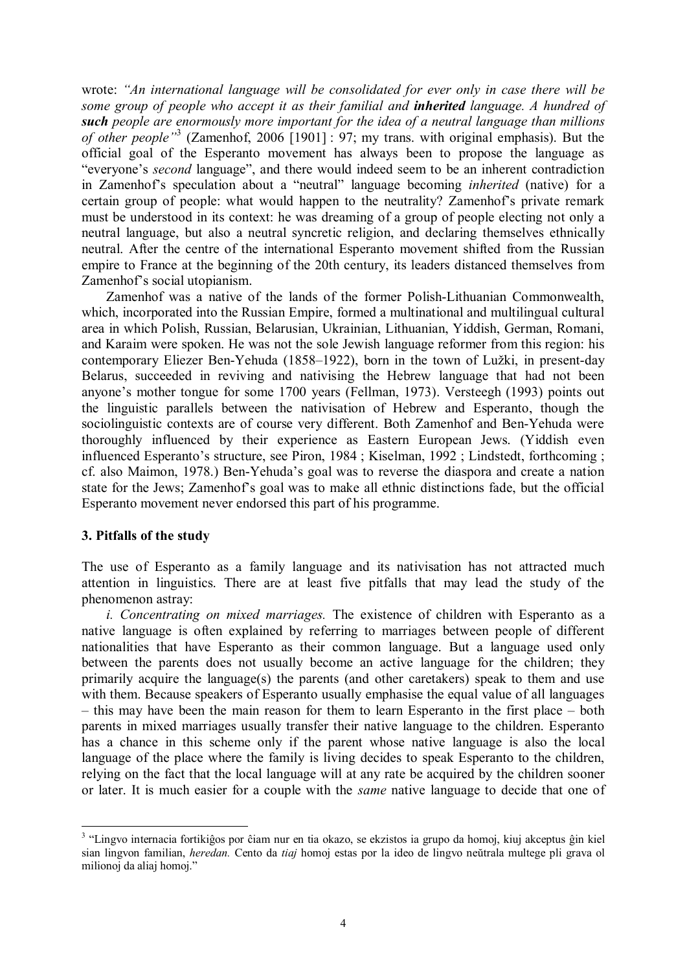wrote: "An international language will be consolidated for ever only in case there will be some group of people who accept it as their familial and **inherited** language. A hundred of such people are enormously more important for the idea of a neutral language than millions of other people"<sup>3</sup> (Zamenhof, 2006 [1901] : 97; my trans. with original emphasis). But the official goal of the Esperanto movement has always been to propose the language as "everyone's *second* language", and there would indeed seem to be an inherent contradiction in Zamenhof's speculation about a "neutral" language becoming *inherited* (native) for a certain group of people: what would happen to the neutrality? Zamenhof's private remark must be understood in its context: he was dreaming of a group of people electing not only a neutral language, but also a neutral syncretic religion, and declaring themselves ethnically neutral. After the centre of the international Esperanto movement shifted from the Russian empire to France at the beginning of the 20th century, its leaders distanced themselves from Zamenhof's social utopianism.

Zamenhof was a native of the lands of the former Polish-Lithuanian Commonwealth, which, incorporated into the Russian Empire, formed a multinational and multilingual cultural area in which Polish, Russian, Belarusian, Ukrainian, Lithuanian, Yiddish, German, Romani, and Karaim were spoken. He was not the sole Jewish language reformer from this region: his contemporary Eliezer Ben-Yehuda (1858–1922), born in the town of Lužki, in present-day Belarus, succeeded in reviving and nativising the Hebrew language that had not been anyone's mother tongue for some 1700 years (Fellman, 1973). Versteegh (1993) points out the linguistic parallels between the nativisation of Hebrew and Esperanto, though the sociolinguistic contexts are of course very different. Both Zamenhof and Ben-Yehuda were thoroughly influenced by their experience as Eastern European Jews. (Yiddish even influenced Esperanto's structure, see Piron, 1984; Kiselman, 1992; Lindstedt, forthcoming; cf. also Maimon, 1978.) Ben-Yehuda's goal was to reverse the diaspora and create a nation state for the Jews; Zamenhof's goal was to make all ethnic distinctions fade, but the official Esperanto movement never endorsed this part of his programme.

## 3. Pitfalls of the study

The use of Esperanto as a family language and its nativisation has not attracted much attention in linguistics. There are at least five pitfalls that may lead the study of the phenomenon astray:

*i. Concentrating on mixed marriages.* The existence of children with Esperanto as a native language is often explained by referring to marriages between people of different nationalities that have Esperanto as their common language. But a language used only between the parents does not usually become an active language for the children; they primarily acquire the language(s) the parents (and other caretakers) speak to them and use with them. Because speakers of Esperanto usually emphasise the equal value of all languages - this may have been the main reason for them to learn Esperanto in the first place - both parents in mixed marriages usually transfer their native language to the children. Esperanto has a chance in this scheme only if the parent whose native language is also the local language of the place where the family is living decides to speak Esperanto to the children, relying on the fact that the local language will at any rate be acquired by the children sooner or later. It is much easier for a couple with the *same* native language to decide that one of

<sup>&</sup>lt;sup>3</sup> "Lingvo internacia fortikiĝos por ĉiam nur en tia okazo, se ekzistos ia grupo da homoj, kiuj akceptus ĝin kiel sian lingvon familian, *heredan*. Cento da *tiaj* homoj estas por la ideo de lingvo neŭtrala multege pli grava ol milionoj da aliaj homoj."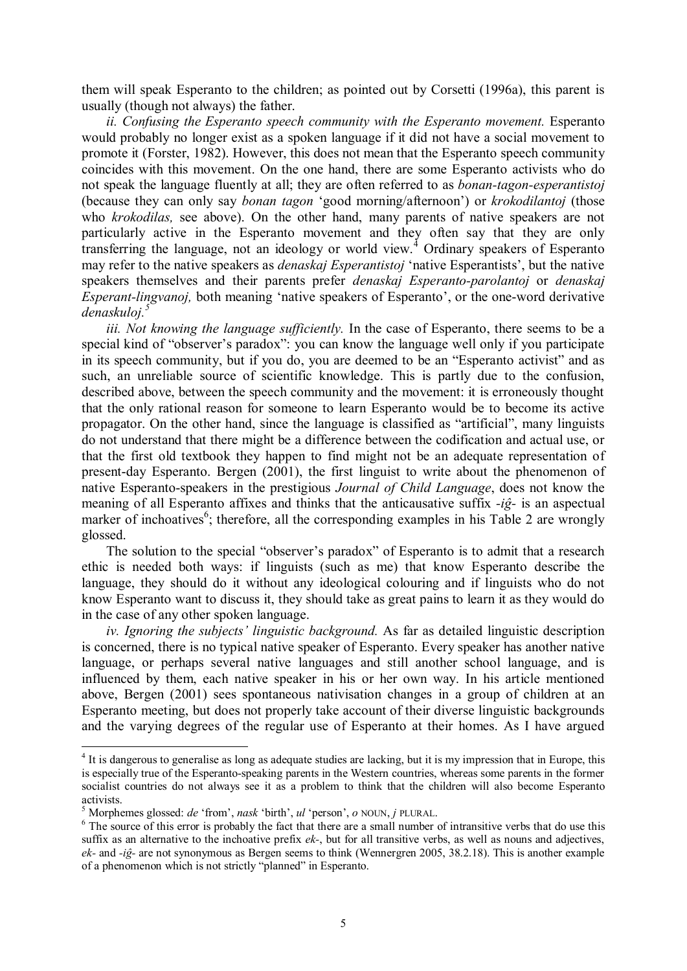them will speak Esperanto to the children; as pointed out by Corsetti (1996a), this parent is usually (though not always) the father.

ii. Confusing the Esperanto speech community with the Esperanto movement. Esperanto would probably no longer exist as a spoken language if it did not have a social movement to promote it (Forster, 1982). However, this does not mean that the Esperanto speech community coincides with this movement. On the one hand, there are some Esperanto activists who do not speak the language fluently at all; they are often referred to as *bonan-tagon-esperantistoj* (because they can only say *bonan tagon* 'good morning/afternoon') or *krokodilantoj* (those who krokodilas, see above). On the other hand, many parents of native speakers are not particularly active in the Esperanto movement and they often say that they are only transferring the language, not an ideology or world view.<sup>4</sup> Ordinary speakers of Esperanto may refer to the native speakers as *denaskaj Esperantistoj* 'native Esperantists', but the native speakers themselves and their parents prefer *denaskaj Esperanto-parolantoj* or *denaskaj Esperant-lingvanoj*, both meaning 'native speakers of Esperanto', or the one-word derivative denaskuloj.<sup>5</sup>

*iii. Not knowing the language sufficiently.* In the case of Esperanto, there seems to be a special kind of "observer's paradox": you can know the language well only if you participate in its speech community, but if you do, you are deemed to be an "Esperanto activist" and as such, an unreliable source of scientific knowledge. This is partly due to the confusion, described above, between the speech community and the movement: it is erroneously thought that the only rational reason for someone to learn Esperanto would be to become its active propagator. On the other hand, since the language is classified as "artificial", many linguists do not understand that there might be a difference between the codification and actual use, or that the first old textbook they happen to find might not be an adequate representation of present-day Esperanto. Bergen (2001), the first linguist to write about the phenomenon of native Esperanto-speakers in the prestigious *Journal of Child Language*, does not know the meaning of all Esperanto affixes and thinks that the anticausative suffix  $-i\hat{g}$ - is an aspectual marker of inchoatives<sup>6</sup>; therefore, all the corresponding examples in his Table 2 are wrongly glossed.

The solution to the special "observer's paradox" of Esperanto is to admit that a research ethic is needed both ways: if linguists (such as me) that know Esperanto describe the language, they should do it without any ideological colouring and if linguists who do not know Esperanto want to discuss it, they should take as great pains to learn it as they would do in the case of any other spoken language.

iv. Ignoring the subjects' linguistic background. As far as detailed linguistic description is concerned, there is no typical native speaker of Esperanto. Every speaker has another native language, or perhaps several native languages and still another school language, and is influenced by them, each native speaker in his or her own way. In his article mentioned above, Bergen (2001) sees spontaneous nativisation changes in a group of children at an Esperanto meeting, but does not properly take account of their diverse linguistic backgrounds and the varying degrees of the regular use of Esperanto at their homes. As I have argued

<sup>&</sup>lt;sup>4</sup> It is dangerous to generalise as long as adequate studies are lacking, but it is my impression that in Europe, this is especially true of the Esperanto-speaking parents in the Western countries, whereas some parents in the former socialist countries do not always see it as a problem to think that the children will also become Esperanto activists.

<sup>&</sup>lt;sup>5</sup> Morphemes glossed: *de* 'from', *nask* 'birth',  $ul$  'person',  $o$  NOUN,  $j$  PLURAL.

<sup>&</sup>lt;sup>6</sup> The source of this error is probably the fact that there are a small number of intransitive verbs that do use this suffix as an alternative to the inchoative prefix  $ek$ , but for all transitive verbs, as well as nouns and adjectives,  $ek$ - and -ig- are not synonymous as Bergen seems to think (Wennergren 2005, 38.2.18). This is another example of a phenomenon which is not strictly "planned" in Esperanto.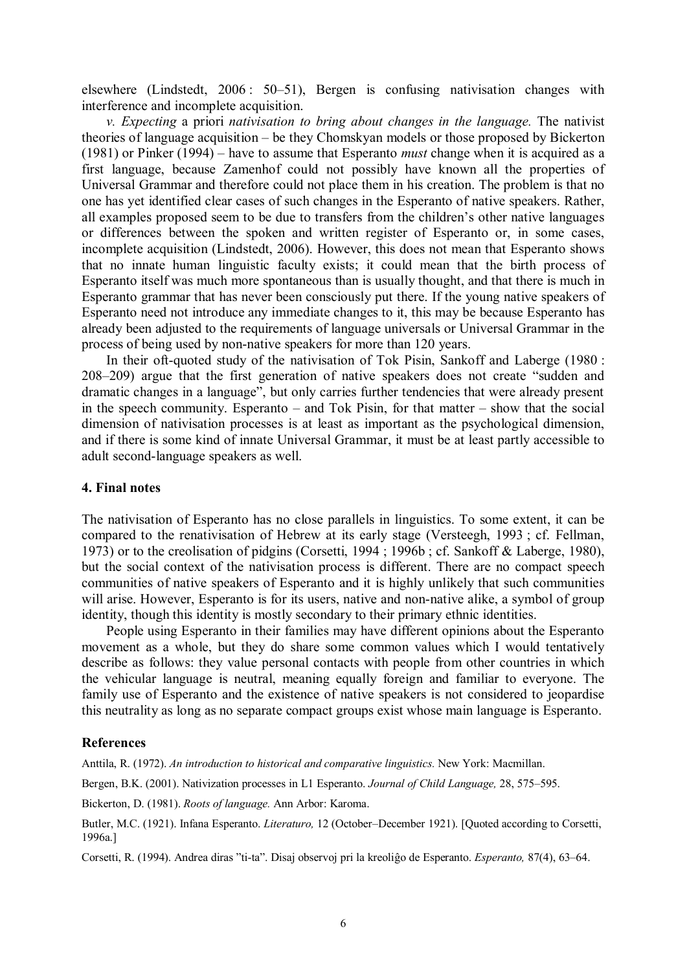elsewhere (Lindstedt, 2006: 50–51), Bergen is confusing nativisation changes with interference and incomplete acquisition.

 $v$ . Expecting a priori nativisation to bring about changes in the language. The nativist theories of language acquisition – be they Chomskyan models or those proposed by Bickerton  $(1981)$  or Pinker  $(1994)$  – have to assume that Esperanto *must* change when it is acquired as a first language, because Zamenhof could not possibly have known all the properties of Universal Grammar and therefore could not place them in his creation. The problem is that no one has vet identified clear cases of such changes in the Esperanto of native speakers. Rather, all examples proposed seem to be due to transfers from the children's other native languages or differences between the spoken and written register of Esperanto or, in some cases, incomplete acquisition (Lindstedt, 2006). However, this does not mean that Esperanto shows that no innate human linguistic faculty exists; it could mean that the birth process of Esperanto itself was much more spontaneous than is usually thought, and that there is much in Esperanto grammar that has never been consciously put there. If the young native speakers of Esperanto need not introduce any immediate changes to it, this may be because Esperanto has already been adjusted to the requirements of language universals or Universal Grammar in the process of being used by non-native speakers for more than 120 years.

In their oft-quoted study of the nativisation of Tok Pisin, Sankoff and Laberge (1980: 208–209) argue that the first generation of native speakers does not create "sudden and dramatic changes in a language", but only carries further tendencies that were already present in the speech community. Esperanto  $-$  and Tok Pisin, for that matter  $-$  show that the social dimension of nativisation processes is at least as important as the psychological dimension. and if there is some kind of innate Universal Grammar, it must be at least partly accessible to adult second-language speakers as well.

## 4. Final notes

The nativisation of Esperanto has no close parallels in linguistics. To some extent, it can be compared to the renativisation of Hebrew at its early stage (Versteegh, 1993; cf. Fellman, 1973) or to the creolisation of pidgins (Corsetti, 1994; 1996b; cf. Sankoff & Laberge, 1980), but the social context of the nativisation process is different. There are no compact speech communities of native speakers of Esperanto and it is highly unlikely that such communities will arise. However, Esperanto is for its users, native and non-native alike, a symbol of group identity, though this identity is mostly secondary to their primary ethnic identities.

People using Esperanto in their families may have different opinions about the Esperanto movement as a whole, but they do share some common values which I would tentatively describe as follows: they value personal contacts with people from other countries in which the vehicular language is neutral, meaning equally foreign and familiar to everyone. The family use of Esperanto and the existence of native speakers is not considered to jeopardise this neutrality as long as no separate compact groups exist whose main language is Esperanto.

#### **References**

Anttila, R. (1972). An introduction to historical and comparative linguistics. New York: Macmillan.

Bergen, B.K. (2001). Nativization processes in L1 Esperanto. Journal of Child Language, 28, 575–595.

Bickerton, D. (1981). Roots of language. Ann Arbor: Karoma.

Butler, M.C. (1921). Infana Esperanto. *Literaturo*, 12 (October–December 1921). [Quoted according to Corsetti, 1996a.]

Corsetti, R. (1994). Andrea diras "ti-ta". Disaj observoj pri la kreoliĝo de Esperanto. Esperanto, 87(4), 63–64.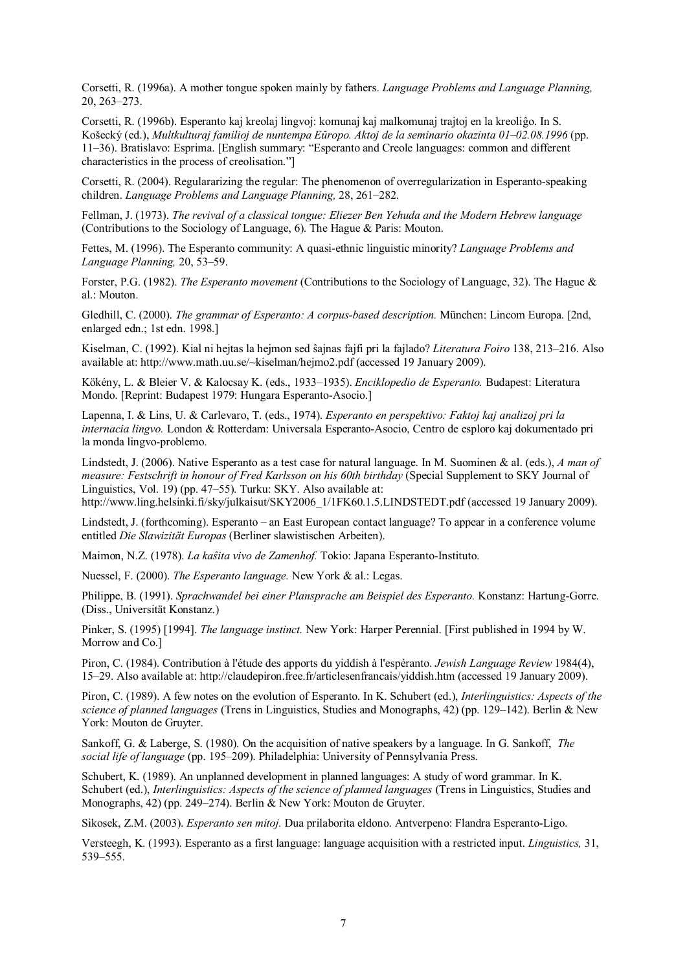Corsetti, R. (1996a). A mother tongue spoken mainly by fathers. *Language Problems and Language Planning*.  $20, 263 - 273.$ 

Corsetti, R. (1996b). Esperanto kaj kreolaj lingvoj: komunaj kaj malkomunaj traitoj en la kreoliĝo. In S. Košecký (ed.), Multkulturaj familioj de nuntempa Eŭropo. Aktoj de la seminario okazinta 01-02.08.1996 (pp. 11–36). Bratislavo: Esprima. [English summary: "Esperanto and Creole languages: common and different characteristics in the process of creolisation."

Corsetti, R. (2004). Regulararizing the regular: The phenomenon of overregularization in Esperanto-speaking children. Language Problems and Language Planning, 28, 261–282.

Fellman, J. (1973). The revival of a classical tongue: Eliezer Ben Yehuda and the Modern Hebrew language (Contributions to the Sociology of Language,  $6$ ). The Hague & Paris: Mouton.

Fettes, M. (1996). The Esperanto community: A quasi-ethnic linguistic minority? Language Problems and Language Planning, 20, 53-59.

Forster, P.G. (1982). The Esperanto movement (Contributions to the Sociology of Language, 32). The Hague & al.: Mouton.

Gledhill, C. (2000). The grammar of Esperanto: A corpus-based description. München: Lincom Europa. [2nd, enlarged edn.: 1st edn. 1998.1

Kiselman, C. (1992). Kial ni heitas la heimon sed ŝajnas fajfi pri la fajlado? Literatura Foiro 138, 213–216. Also available at: http://www.math.uu.se/~kiselman/heimo2.pdf (accessed 19 January 2009).

Kökény, L. & Bleier V. & Kalocsay K. (eds., 1933-1935). Enciklopedio de Esperanto. Budapest: Literatura Mondo. [Reprint: Budapest 1979: Hungara Esperanto-Asocio.]

Lapenna, I. & Lins, U. & Carlevaro, T. (eds., 1974). Esperanto en perspektivo: Faktoj kaj analizoj pri la internacia lingvo. London & Rotterdam: Universala Esperanto-Asocio, Centro de esploro kaj dokumentado pri la monda lingvo-problemo.

Lindstedt, J. (2006). Native Esperanto as a test case for natural language. In M. Suominen & al. (eds.), A man of measure: Festschrift in honour of Fred Karlsson on his 60th birthday (Special Supplement to SKY Journal of Linguistics, Vol. 19) (pp. 47–55). Turku: SKY. Also available at:

http://www.ling.helsinki.fi/sky/julkaisut/SKY2006 1/1FK60.1.5.LINDSTEDT.pdf (accessed 19 January 2009).

Lindstedt, J. (forthcoming). Esperanto – an East European contact language? To appear in a conference volume entitled Die Slawizität Europas (Berliner slawistischen Arbeiten).

Maimon, N.Z. (1978). La kaŝita vivo de Zamenhof. Tokio: Japana Esperanto-Instituto.

Nuessel, F. (2000). The Esperanto language. New York & al.: Legas.

Philippe, B. (1991). Sprachwandel bei einer Plansprache am Beispiel des Esperanto. Konstanz: Hartung-Gorre. (Diss., Universität Konstanz.)

Pinker, S. (1995) [1994]. *The language instinct*. New York: Harper Perennial. [First published in 1994 by W. Morrow and Co.1

Piron, C. (1984). Contribution à l'étude des apports du viddish à l'espéranto. Jewish Language Review 1984(4), 15–29. Also available at: http://claudepiron.free.fr/articlesenfrancais/viddish.htm (accessed 19 January 2009).

Piron, C. (1989). A few notes on the evolution of Esperanto. In K. Schubert (ed.), *Interlinguistics: Aspects of the* science of planned languages (Trens in Linguistics, Studies and Monographs, 42) (pp. 129–142). Berlin & New York: Mouton de Gruyter.

Sankoff, G. & Laberge, S. (1980). On the acquisition of native speakers by a language. In G. Sankoff, The social life of language (pp. 195-209). Philadelphia: University of Pennsylvania Press.

Schubert, K. (1989). An unplanned development in planned languages: A study of word grammar. In K. Schubert (ed.), *Interlinguistics: Aspects of the science of planned languages* (Trens in Linguistics, Studies and Monographs, 42) (pp. 249–274). Berlin & New York: Mouton de Gruyter.

Sikosek, Z.M. (2003). *Esperanto sen mitoj*. Dua prilaborita eldono. Antverpeno: Flandra Esperanto-Ligo.

Versteegh, K. (1993). Esperanto as a first language: language acquisition with a restricted input. *Linguistics*, 31,  $539 - 555$ .